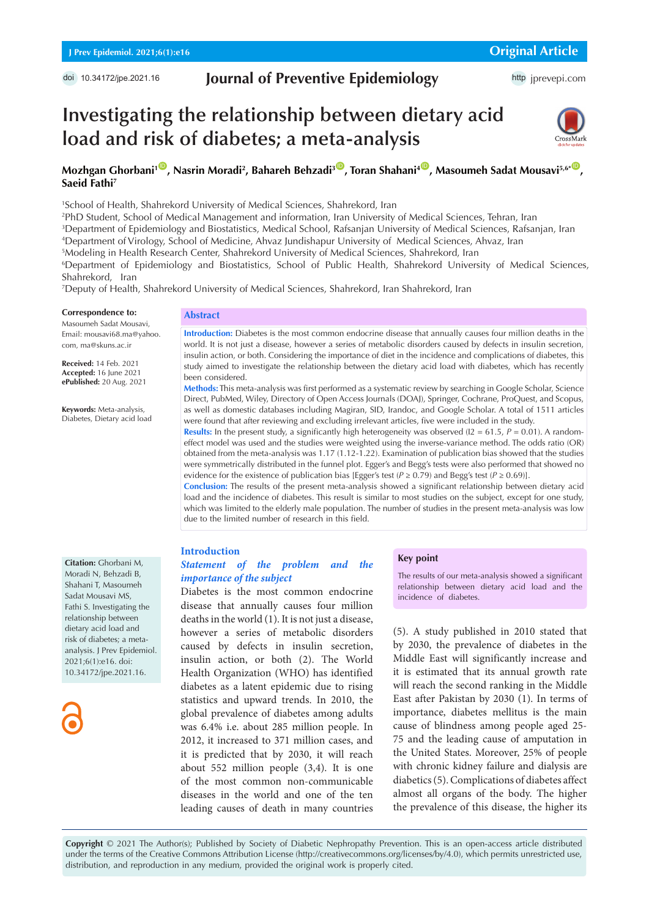## **Journal of Preventive Epidemiology**

http [jprevepi.com](http://jprevepi.com)

# **Investigating the relationship between dietary acid load and risk of diabetes; a meta-analysis**



## Mozhgan Ghorbani<sup>109</sup>, Nasrin Moradi<sup>2</sup>, Bahareh Behzadi<sup>309</sup>, Toran Shahani<sup>409</sup>, Masoumeh Sadat Mousavi<sup>5,6\*09</sup>, **Saeid Fathi7**

1 School of Health, Shahrekord University of Medical Sciences, Shahrekord, Iran

2 PhD Student, School of Medical Management and information, Iran University of Medical Sciences, Tehran, Iran

3 Department of Epidemiology and Biostatistics, Medical School, Rafsanjan University of Medical Sciences, Rafsanjan, Iran

4 Department of Virology, School of Medicine, Ahvaz Jundishapur University of Medical Sciences, Ahvaz, Iran

5 Modeling in Health Research Center, Shahrekord University of Medical Sciences, Shahrekord, Iran

6 Department of Epidemiology and Biostatistics, School of Public Health, Shahrekord University of Medical Sciences, Shahrekord, Iran

7 Deputy of Health, Shahrekord University of Medical Sciences, Shahrekord, Iran Shahrekord, Iran

#### **Correspondence to:**

Masoumeh Sadat Mousavi, Email: mousavi68.ma@yahoo. com, ma@skuns.ac.ir

**Received:** 14 Feb. 2021 **Accepted:** 16 June 2021 **ePublished:** 20 Aug. 2021

**Keywords:** Meta-analysis, Diabetes, Dietary acid load

## **Abstract**

**Introduction:** Diabetes is the most common endocrine disease that annually causes four million deaths in the world. It is not just a disease, however a series of metabolic disorders caused by defects in insulin secretion, insulin action, or both. Considering the importance of diet in the incidence and complications of diabetes, this study aimed to investigate the relationship between the dietary acid load with diabetes, which has recently been considered.

**Methods:** This meta-analysis was first performed as a systematic review by searching in Google Scholar, Science Direct, PubMed, Wiley, Directory of Open Access Journals (DOAJ), Springer, Cochrane, ProQuest, and Scopus, as well as domestic databases including Magiran, SID, Irandoc, and Google Scholar. A total of 1511 articles were found that after reviewing and excluding irrelevant articles, five were included in the study.

**Results:** In the present study, a significantly high heterogeneity was observed ( $12 = 61.5$ ,  $P = 0.01$ ). A randomeffect model was used and the studies were weighted using the inverse-variance method. The odds ratio (OR) obtained from the meta-analysis was 1.17 (1.12-1.22). Examination of publication bias showed that the studies were symmetrically distributed in the funnel plot. Egger's and Begg's tests were also performed that showed no evidence for the existence of publication bias [Egger's test ( $P \ge 0.79$ ) and Begg's test ( $P \ge 0.69$ )].

**Conclusion:** The results of the present meta-analysis showed a significant relationship between dietary acid load and the incidence of diabetes. This result is similar to most studies on the subject, except for one study, which was limited to the elderly male population. The number of studies in the present meta-analysis was low due to the limited number of research in this field.

#### **Introduction**

## *Statement of the problem and the importance of the subject*

Diabetes is the most common endocrine disease that annually causes four million deaths in the world (1). It is not just a disease, however a series of metabolic disorders caused by defects in insulin secretion, insulin action, or both (2). The World Health Organization (WHO) has identified diabetes as a latent epidemic due to rising statistics and upward trends. In 2010, the global prevalence of diabetes among adults was 6.4% i.e. about 285 million people. In 2012, it increased to 371 million cases, and it is predicted that by 2030, it will reach about 552 million people (3,4). It is one of the most common non-communicable diseases in the world and one of the ten leading causes of death in many countries

#### **Key point**

The results of our meta-analysis showed a significant relationship between dietary acid load and the incidence of diabetes.

(5). A study published in 2010 stated that by 2030, the prevalence of diabetes in the Middle East will significantly increase and it is estimated that its annual growth rate will reach the second ranking in the Middle East after Pakistan by 2030 (1). In terms of importance, diabetes mellitus is the main cause of blindness among people aged 25- 75 and the leading cause of amputation in the United States. Moreover, 25% of people with chronic kidney failure and dialysis are diabetics (5). Complications of diabetes affect almost all organs of the body. The higher the prevalence of this disease, the higher its

**Copyright** © 2021 The Author(s); Published by Society of Diabetic Nephropathy Prevention. This is an open-access article distributed under the terms of the Creative Commons Attribution License (http://creativecommons.org/licenses/by/4.0), which permits unrestricted use, distribution, and reproduction in any medium, provided the original work is properly cited.

**Citation:** Ghorbani M, Moradi N, Behzadi B, Shahani T, Masoumeh Sadat Mousavi MS, Fathi S. Investigating the relationship between dietary acid load and risk of diabetes; a metaanalysis. J Prev Epidemiol. 2021;6(1):e16. doi: 10.34172/jpe.2021.16.

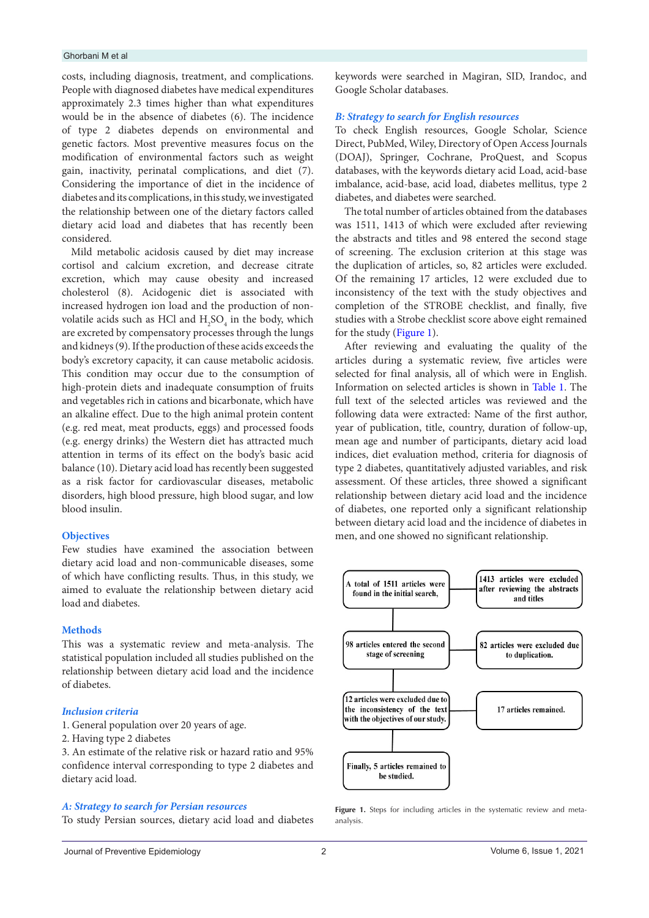#### Ghorbani M et al

costs, including diagnosis, treatment, and complications. People with diagnosed diabetes have medical expenditures approximately 2.3 times higher than what expenditures would be in the absence of diabetes (6). The incidence of type 2 diabetes depends on environmental and genetic factors. Most preventive measures focus on the modification of environmental factors such as weight gain, inactivity, perinatal complications, and diet (7). Considering the importance of diet in the incidence of diabetes and its complications, in this study, we investigated the relationship between one of the dietary factors called dietary acid load and diabetes that has recently been considered.

Mild metabolic acidosis caused by diet may increase cortisol and calcium excretion, and decrease citrate excretion, which may cause obesity and increased cholesterol (8). Acidogenic diet is associated with increased hydrogen ion load and the production of nonvolatile acids such as HCl and  $H_2SO_4$  in the body, which are excreted by compensatory processes through the lungs and kidneys (9). If the production of these acids exceeds the body's excretory capacity, it can cause metabolic acidosis. This condition may occur due to the consumption of high-protein diets and inadequate consumption of fruits and vegetables rich in cations and bicarbonate, which have an alkaline effect. Due to the high animal protein content (e.g. red meat, meat products, eggs) and processed foods (e.g. energy drinks) the Western diet has attracted much attention in terms of its effect on the body's basic acid balance (10). Dietary acid load has recently been suggested as a risk factor for cardiovascular diseases, metabolic disorders, high blood pressure, high blood sugar, and low blood insulin.

#### **Objectives**

Few studies have examined the association between dietary acid load and non-communicable diseases, some of which have conflicting results. Thus, in this study, we aimed to evaluate the relationship between dietary acid load and diabetes.

## **Methods**

This was a systematic review and meta-analysis. The statistical population included all studies published on the relationship between dietary acid load and the incidence of diabetes.

## *Inclusion criteria*

1. General population over 20 years of age.

2. Having type 2 diabetes

3. An estimate of the relative risk or hazard ratio and 95% confidence interval corresponding to type 2 diabetes and dietary acid load.

#### *A: Strategy to search for Persian resources*

To study Persian sources, dietary acid load and diabetes

keywords were searched in Magiran, SID, Irandoc, and Google Scholar databases.

## *B: Strategy to search for English resources*

To check English resources, Google Scholar, Science Direct, PubMed, Wiley, Directory of Open Access Journals (DOAJ), Springer, Cochrane, ProQuest, and Scopus databases, with the keywords dietary acid Load, acid-base imbalance, acid-base, acid load, diabetes mellitus, type 2 diabetes, and diabetes were searched.

The total number of articles obtained from the databases was 1511, 1413 of which were excluded after reviewing the abstracts and titles and 98 entered the second stage of screening. The exclusion criterion at this stage was the duplication of articles, so, 82 articles were excluded. Of the remaining 17 articles, 12 were excluded due to inconsistency of the text with the study objectives and completion of the STROBE checklist, and finally, five studies with a Strobe checklist score above eight remained for the study ([Figure 1\)](#page-1-0).

After reviewing and evaluating the quality of the articles during a systematic review, five articles were selected for final analysis, all of which were in English. Information on selected articles is shown in [Table 1.](#page-2-0) The full text of the selected articles was reviewed and the following data were extracted: Name of the first author, year of publication, title, country, duration of follow-up, mean age and number of participants, dietary acid load indices, diet evaluation method, criteria for diagnosis of type 2 diabetes, quantitatively adjusted variables, and risk assessment. Of these articles, three showed a significant relationship between dietary acid load and the incidence of diabetes, one reported only a significant relationship between dietary acid load and the incidence of diabetes in men, and one showed no significant relationship.

<span id="page-1-0"></span>

Figure 1. Steps for including articles in the systematic review and metaanalysis.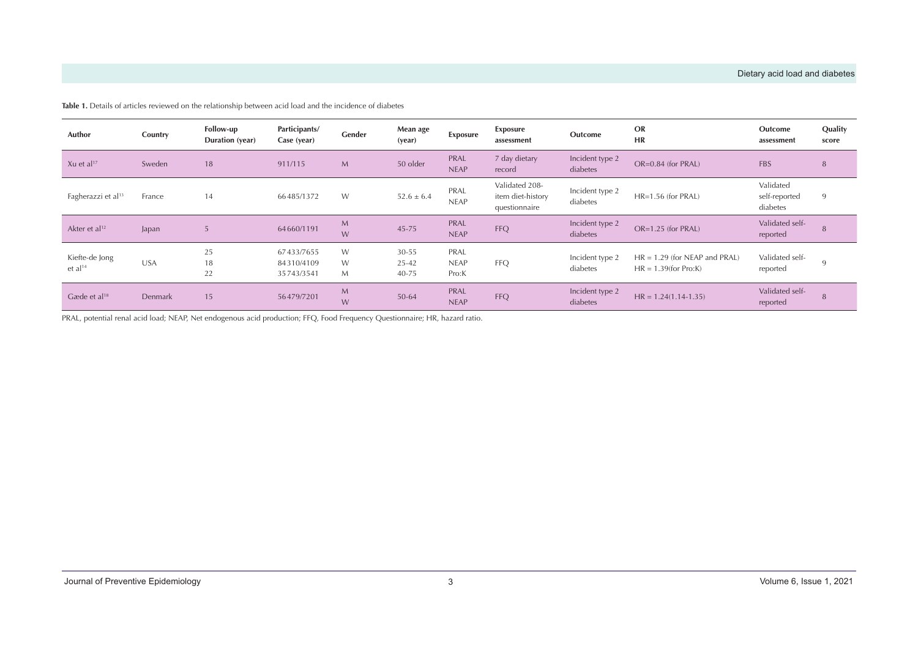| Author                                | Country    | Follow-up<br>Duration (year) | Participants/<br>Case (year)           | Gender           | Mean age<br>(year)                  | Exposure                     | Exposure<br>assessment                               | Outcome                     | <b>OR</b><br><b>HR</b>                                     | Outcome<br>assessment                  | Quality<br>score |
|---------------------------------------|------------|------------------------------|----------------------------------------|------------------|-------------------------------------|------------------------------|------------------------------------------------------|-----------------------------|------------------------------------------------------------|----------------------------------------|------------------|
| Xu et al <sup>17</sup>                | Sweden     | 18                           | 911/115                                | $M_{\odot}$      | 50 older                            | PRAL<br><b>NEAP</b>          | 7 day dietary<br>record                              | Incident type 2<br>diabetes | OR=0.84 (for PRAL)                                         | <b>FBS</b>                             | 8                |
| Fagherazzi et al <sup>13</sup>        | France     | 14                           | 66485/1372                             | W                | $52.6 \pm 6.4$                      | PRAL<br><b>NEAP</b>          | Validated 208-<br>item diet-history<br>questionnaire | Incident type 2<br>diabetes | HR=1.56 (for PRAL)                                         | Validated<br>self-reported<br>diabetes | 9                |
| Akter et al <sup>12</sup>             | Japan      | 5                            | 64660/1191                             | $M_{\odot}$<br>W | 45-75                               | PRAL<br><b>NEAP</b>          | <b>FFQ</b>                                           | Incident type 2<br>diabetes | $OR=1.25$ (for PRAL)                                       | Validated self-<br>reported            | 8                |
| Kiefte-de Jong<br>et al <sup>14</sup> | <b>USA</b> | 25<br>18<br>22               | 67433/7655<br>84310/4109<br>35743/3541 | W<br>W<br>M      | $30 - 55$<br>$25 - 42$<br>$40 - 75$ | PRAL<br><b>NEAP</b><br>Pro:K | <b>FFQ</b>                                           | Incident type 2<br>diabetes | $HR = 1.29$ (for NEAP and PRAL)<br>$HR = 1.39$ (for Pro:K) | Validated self-<br>reported            | -9               |
| Gæde et al $18$                       | Denmark    | 15                           | 56479/7201                             | M<br>W           | $50 - 64$                           | PRAL<br><b>NEAP</b>          | <b>FFQ</b>                                           | Incident type 2<br>diabetes | $HR = 1.24(1.14-1.35)$                                     | Validated self-<br>reported            | 8                |

**Table 1.** Details of articles reviewed on the relationship between acid load and the incidence of diabetes

<span id="page-2-0"></span>PRAL, potential renal acid load; NEAP, Net endogenous acid production; FFQ, Food Frequency Questionnaire; HR, hazard ratio.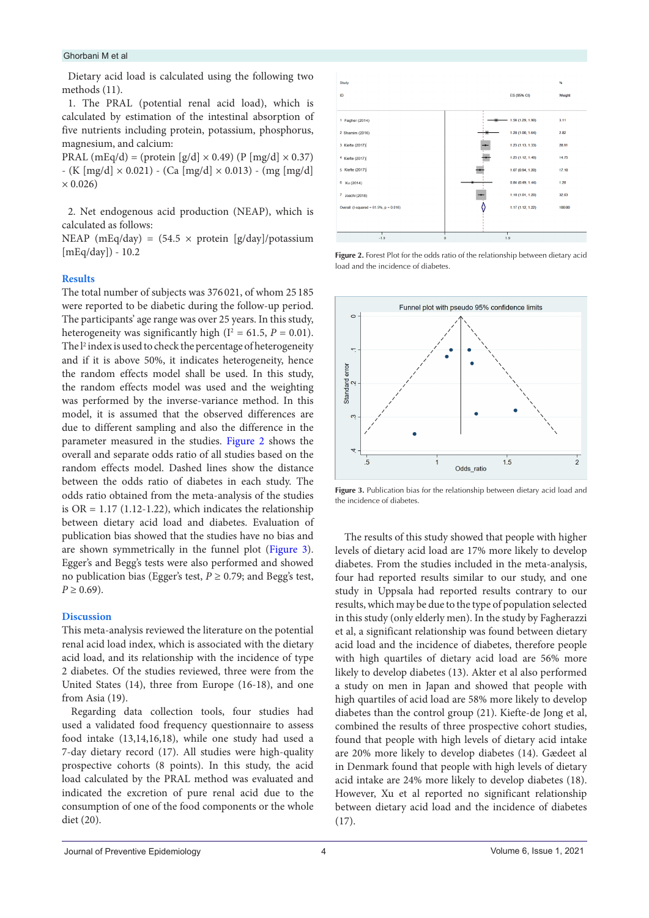#### Ghorbani M et al

Dietary acid load is calculated using the following two methods (11).

1. The PRAL (potential renal acid load), which is calculated by estimation of the intestinal absorption of five nutrients including protein, potassium, phosphorus, magnesium, and calcium:

PRAL (mEq/d) = (protein [g/d]  $\times$  0.49) (P [mg/d]  $\times$  0.37)  $-$  (K [mg/d]  $\times$  0.021) - (Ca [mg/d]  $\times$  0.013) - (mg [mg/d]  $\times 0.026$ 

2. Net endogenous acid production (NEAP), which is calculated as follows:

NEAP (mEq/day) =  $(54.5 \times$  protein [g/day]/potassium  $[mEq/day]$ ) - 10.2

## **Results**

The total number of subjects was 376 021, of whom 25 185 were reported to be diabetic during the follow-up period. The participants' age range was over 25 years. In this study, heterogeneity was significantly high  $(I^2 = 61.5, P = 0.01)$ . The l<sup>2</sup> index is used to check the percentage of heterogeneity and if it is above 50%, it indicates heterogeneity, hence the random effects model shall be used. In this study, the random effects model was used and the weighting was performed by the inverse-variance method. In this model, it is assumed that the observed differences are due to different sampling and also the difference in the parameter measured in the studies. [Figure 2](#page-3-0) shows the overall and separate odds ratio of all studies based on the random effects model. Dashed lines show the distance between the odds ratio of diabetes in each study. The odds ratio obtained from the meta-analysis of the studies is  $OR = 1.17$  (1.12-1.22), which indicates the relationship between dietary acid load and diabetes. Evaluation of publication bias showed that the studies have no bias and are shown symmetrically in the funnel plot [\(Figure 3\)](#page-3-1). Egger's and Begg's tests were also performed and showed no publication bias (Egger's test,  $P \ge 0.79$ ; and Begg's test,  $P \geq 0.69$ ).

## **Discussion**

This meta-analysis reviewed the literature on the potential renal acid load index, which is associated with the dietary acid load, and its relationship with the incidence of type 2 diabetes. Of the studies reviewed, three were from the United States (14), three from Europe (16-18), and one from Asia (19).

Regarding data collection tools, four studies had used a validated food frequency questionnaire to assess food intake (13,14,16,18), while one study had used a 7-day dietary record (17). All studies were high-quality prospective cohorts (8 points). In this study, the acid load calculated by the PRAL method was evaluated and indicated the excretion of pure renal acid due to the consumption of one of the food components or the whole diet (20).

<span id="page-3-0"></span>

**Figure 2.** Forest Plot for the odds ratio of the relationship between dietary acid load and the incidence of diabetes.

<span id="page-3-1"></span>

Figure 3. Publication bias for the relationship between dietary acid load and the incidence of diabetes.

The results of this study showed that people with higher levels of dietary acid load are 17% more likely to develop diabetes. From the studies included in the meta-analysis, four had reported results similar to our study, and one study in Uppsala had reported results contrary to our results, which may be due to the type of population selected in this study (only elderly men). In the study by Fagherazzi et al, a significant relationship was found between dietary acid load and the incidence of diabetes, therefore people with high quartiles of dietary acid load are 56% more likely to develop diabetes (13). Akter et al also performed a study on men in Japan and showed that people with high quartiles of acid load are 58% more likely to develop diabetes than the control group (21). Kiefte-de Jong et al, combined the results of three prospective cohort studies, found that people with high levels of dietary acid intake are 20% more likely to develop diabetes (14). Gædeet al in Denmark found that people with high levels of dietary acid intake are 24% more likely to develop diabetes (18). However, Xu et al reported no significant relationship between dietary acid load and the incidence of diabetes (17).